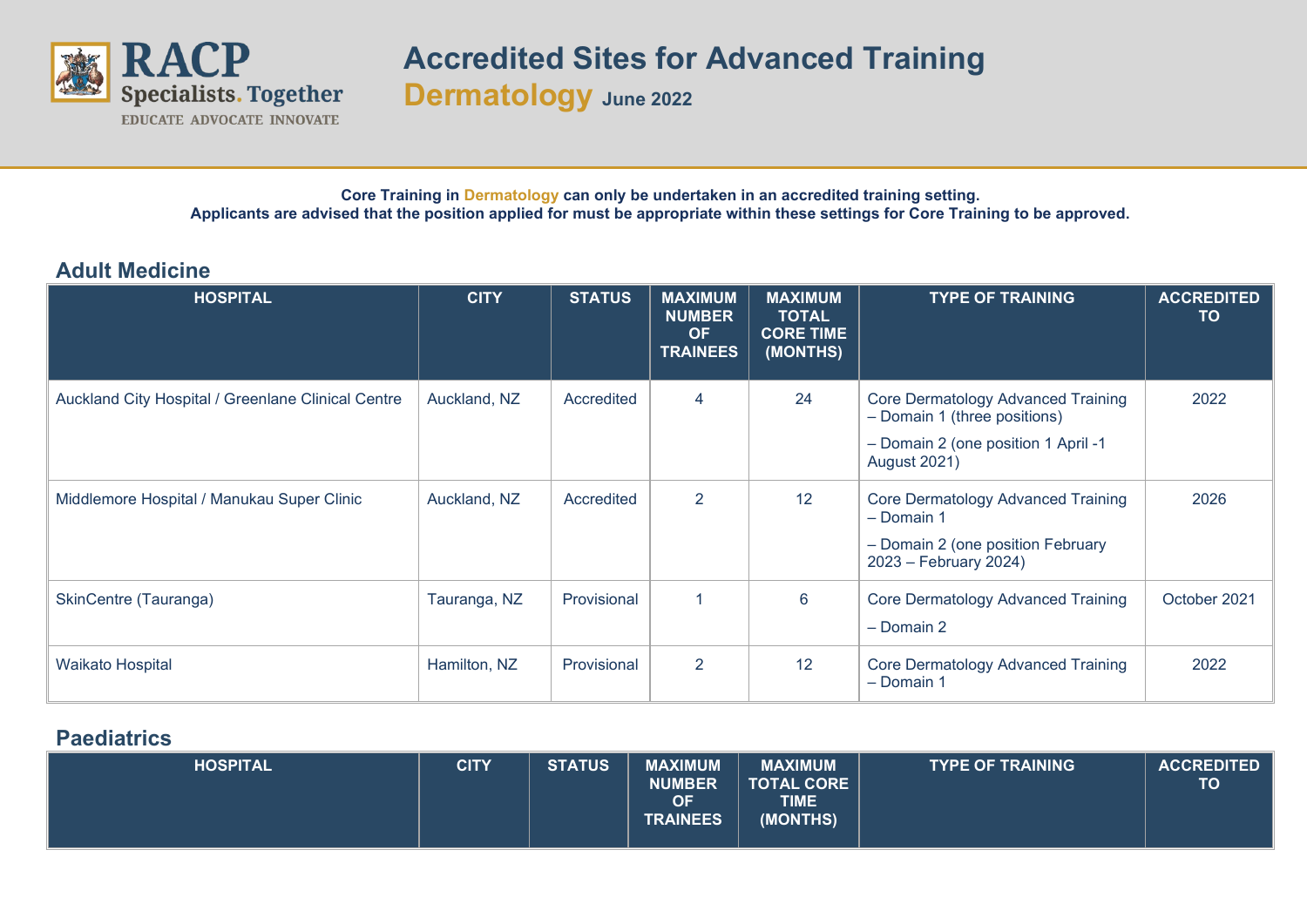

**Dermatology June <sup>2022</sup>**

## **Core Training in Dermatology can only be undertaken in an accredited training setting. Applicants are advised that the position applied for must be appropriate within these settings for Core Training to be approved.**

## **Adult Medicine**

| <b>HOSPITAL</b>                                    | <b>CITY</b>  | <b>STATUS</b> | <b>MAXIMUM</b><br><b>NUMBER</b><br><b>OF</b><br><b>TRAINEES</b> | <b>MAXIMUM</b><br><b>TOTAL</b><br><b>CORE TIME</b><br>(MONTHS) | <b>TYPE OF TRAINING</b>                                                                                                                 | <b>ACCREDITED</b><br>TO |
|----------------------------------------------------|--------------|---------------|-----------------------------------------------------------------|----------------------------------------------------------------|-----------------------------------------------------------------------------------------------------------------------------------------|-------------------------|
| Auckland City Hospital / Greenlane Clinical Centre | Auckland, NZ | Accredited    | $\overline{4}$                                                  | 24                                                             | <b>Core Dermatology Advanced Training</b><br>- Domain 1 (three positions)<br>- Domain 2 (one position 1 April -1<br><b>August 2021)</b> | 2022                    |
| Middlemore Hospital / Manukau Super Clinic         | Auckland, NZ | Accredited    | 2                                                               | 12                                                             | <b>Core Dermatology Advanced Training</b><br>- Domain 1<br>- Domain 2 (one position February<br>2023 - February 2024)                   | 2026                    |
| SkinCentre (Tauranga)                              | Tauranga, NZ | Provisional   | 1                                                               | 6                                                              | <b>Core Dermatology Advanced Training</b><br>- Domain 2                                                                                 | October 2021            |
| <b>Waikato Hospital</b>                            | Hamilton, NZ | Provisional   | 2                                                               | 12                                                             | Core Dermatology Advanced Training<br>- Domain 1                                                                                        | 2022                    |

## **Paediatrics**

| <b>HOSPITAL</b> | <b>CITY</b> | <b>STATUS</b> | <b>MAXIMUM</b><br><b>NUMBER</b><br><b>OF</b><br><b>TRAINEES</b> | <b>MAXIMUM</b><br><b>TOTAL CORE</b><br>TIME<br>(MONTHS) | <b>TYPE OF TRAINING</b> | <b>ACCREDITED</b><br><b>TO</b> |
|-----------------|-------------|---------------|-----------------------------------------------------------------|---------------------------------------------------------|-------------------------|--------------------------------|
|-----------------|-------------|---------------|-----------------------------------------------------------------|---------------------------------------------------------|-------------------------|--------------------------------|